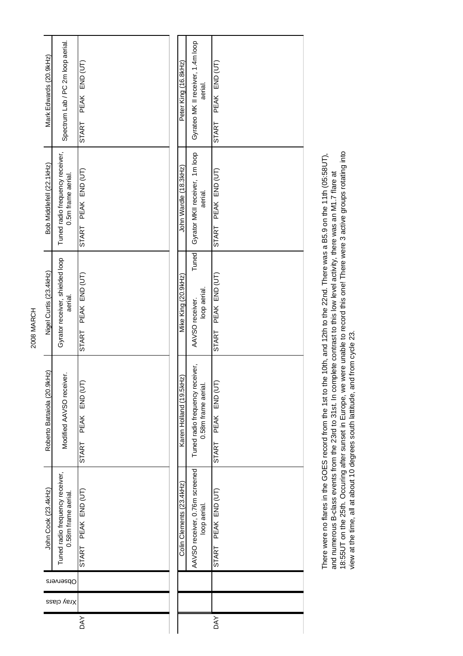| Mark Edwards (20.9kHz)      | Spectrum Lab / PC 2m loop aerial.                      | PEAK END (UT)<br>START | Peter King (16.8kHz)     | Gyrateo MK II receiver, 1.4m loop<br>aerial.          | PEAK END (UT)<br><b>START</b> |
|-----------------------------|--------------------------------------------------------|------------------------|--------------------------|-------------------------------------------------------|-------------------------------|
| Bob Middlefell (22.1kHz)    | Tuned radio frequency receiver,<br>0.5m frame aerial.  | START PEAK END (UT)    | John Wardle (18.3kHz)    | Gyrator MKII receiver, 1m loop<br>aerial.             | START PEAK END (UT)           |
| Nigel Curtis (23.4kHz)      | Gyrator receiver, shielded loop<br>aerial.             | START PEAK END (UT)    | Mike King (20.9kHz)      | Tuned<br>loop aerial.<br>AAVSO receiver.              | START PEAK END (UT)           |
| Roberto Battaiola (20.9kHz) | Modified AAVSO receiver.                               | START PEAK END (UT     | Karen Holland (19.5kHz)  | Tuned radio frequency receiver,<br>0.58m frame aerial | START PEAK END (UT            |
| John Cook (23.4kHz)         | Tuned radio frequency receiver,<br>0.58m frame aerial. | START PEAK END (UT)    | Colin Clements (23.4kHz) | AAVSO receiver, 0.76m screened<br>loop aerial.        | START PEAK END (UT)           |
|                             | Observers                                              |                        |                          |                                                       |                               |
|                             | Xray class                                             |                        |                          |                                                       |                               |
|                             |                                                        | DAY                    |                          |                                                       | <b>DAY</b>                    |

and numerous B-class events from the 23rd to 31st. In complete contrast to this low level activity, there was an M1.7 flare at<br>18:55UT on the 25th. Occuring after sunset in Europe, we were unable to record this one! There 18:55UT on the 25th. Occuring after sunset in Europe, we were unable to record this one! There were 3 active groups rotating into There were no flares in the GOES record from the 1st to the 10th, and 12th to the 22nd. There was a B5.9 on the 11th (05:58UT), There were no flares in the GOES record from the 1st to the 10th, and 12th to the 22nd. There was a B5.9 on the 11th (05:58UT), and numerous B-class events from the 23rd to 31st. In complete contrast to this low level activity, there was an M1.7 flare at view at the time, all at about 10 degrees south lattitude, and from cycle 23.

2008 MARCH